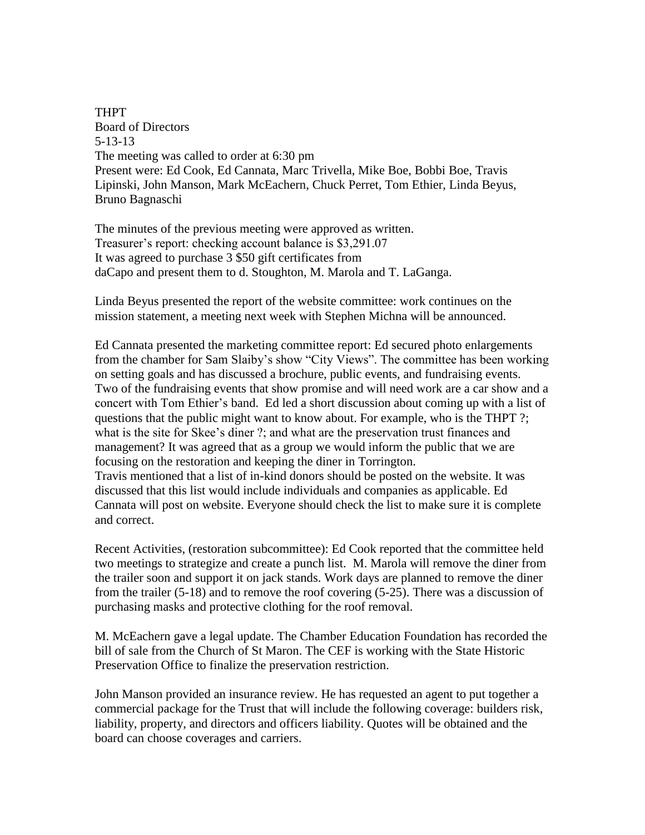THPT Board of Directors 5-13-13 The meeting was called to order at 6:30 pm Present were: Ed Cook, Ed Cannata, Marc Trivella, Mike Boe, Bobbi Boe, Travis Lipinski, John Manson, Mark McEachern, Chuck Perret, Tom Ethier, Linda Beyus, Bruno Bagnaschi

The minutes of the previous meeting were approved as written. Treasurer's report: checking account balance is \$3,291.07 It was agreed to purchase 3 \$50 gift certificates from daCapo and present them to d. Stoughton, M. Marola and T. LaGanga.

Linda Beyus presented the report of the website committee: work continues on the mission statement, a meeting next week with Stephen Michna will be announced.

Ed Cannata presented the marketing committee report: Ed secured photo enlargements from the chamber for Sam Slaiby's show "City Views". The committee has been working on setting goals and has discussed a brochure, public events, and fundraising events. Two of the fundraising events that show promise and will need work are a car show and a concert with Tom Ethier's band. Ed led a short discussion about coming up with a list of questions that the public might want to know about. For example, who is the THPT ?; what is the site for Skee's diner ?; and what are the preservation trust finances and management? It was agreed that as a group we would inform the public that we are focusing on the restoration and keeping the diner in Torrington. Travis mentioned that a list of in-kind donors should be posted on the website. It was

discussed that this list would include individuals and companies as applicable. Ed Cannata will post on website. Everyone should check the list to make sure it is complete and correct.

Recent Activities, (restoration subcommittee): Ed Cook reported that the committee held two meetings to strategize and create a punch list. M. Marola will remove the diner from the trailer soon and support it on jack stands. Work days are planned to remove the diner from the trailer (5-18) and to remove the roof covering (5-25). There was a discussion of purchasing masks and protective clothing for the roof removal.

M. McEachern gave a legal update. The Chamber Education Foundation has recorded the bill of sale from the Church of St Maron. The CEF is working with the State Historic Preservation Office to finalize the preservation restriction.

John Manson provided an insurance review. He has requested an agent to put together a commercial package for the Trust that will include the following coverage: builders risk, liability, property, and directors and officers liability. Quotes will be obtained and the board can choose coverages and carriers.